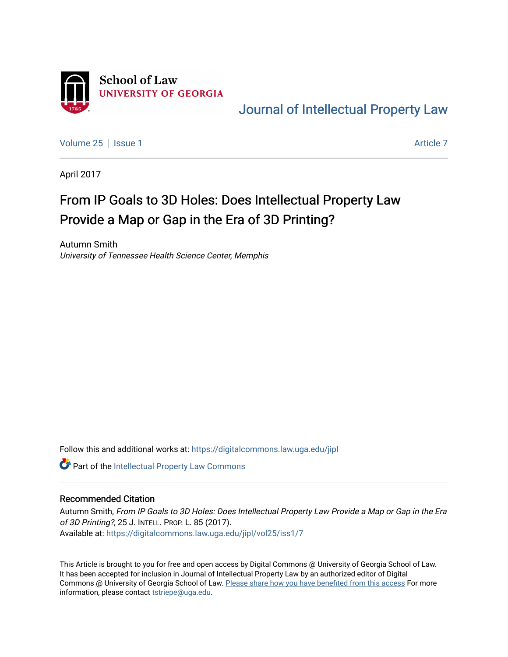

[Journal of Intellectual Property Law](https://digitalcommons.law.uga.edu/jipl) 

[Volume 25](https://digitalcommons.law.uga.edu/jipl/vol25) | [Issue 1](https://digitalcommons.law.uga.edu/jipl/vol25/iss1) [Article 7](https://digitalcommons.law.uga.edu/jipl/vol25/iss1/7) Article 7 Article 7 Article 7 Article 7 Article 7 Article 7 Article 7 Article 7

April 2017

# From IP Goals to 3D Holes: Does Intellectual Property Law Provide a Map or Gap in the Era of 3D Printing?

Autumn Smith University of Tennessee Health Science Center, Memphis

Follow this and additional works at: [https://digitalcommons.law.uga.edu/jipl](https://digitalcommons.law.uga.edu/jipl?utm_source=digitalcommons.law.uga.edu%2Fjipl%2Fvol25%2Fiss1%2F7&utm_medium=PDF&utm_campaign=PDFCoverPages) 

Part of the [Intellectual Property Law Commons](http://network.bepress.com/hgg/discipline/896?utm_source=digitalcommons.law.uga.edu%2Fjipl%2Fvol25%2Fiss1%2F7&utm_medium=PDF&utm_campaign=PDFCoverPages) 

# Recommended Citation

Autumn Smith, From IP Goals to 3D Holes: Does Intellectual Property Law Provide a Map or Gap in the Era of 3D Printing?, 25 J. INTELL. PROP. L. 85 (2017). Available at: [https://digitalcommons.law.uga.edu/jipl/vol25/iss1/7](https://digitalcommons.law.uga.edu/jipl/vol25/iss1/7?utm_source=digitalcommons.law.uga.edu%2Fjipl%2Fvol25%2Fiss1%2F7&utm_medium=PDF&utm_campaign=PDFCoverPages) 

This Article is brought to you for free and open access by Digital Commons @ University of Georgia School of Law. It has been accepted for inclusion in Journal of Intellectual Property Law by an authorized editor of Digital Commons @ University of Georgia School of Law. [Please share how you have benefited from this access](https://docs.google.com/forms/d/e/1FAIpQLSc_7JxpD4JNSJyX6RwtrWT9ZyH0ZZhUyG3XrFAJV-kf1AGk6g/viewform) For more information, please contact [tstriepe@uga.edu](mailto:tstriepe@uga.edu).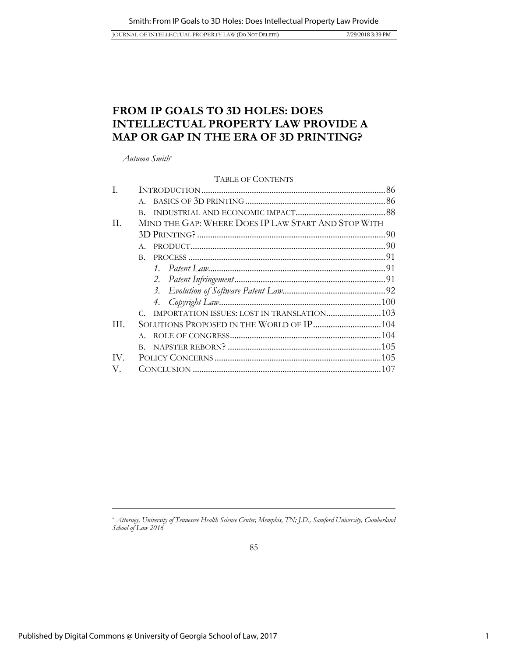JOURNAL OF INTELLECTUAL PROPERTY LAW (DO NOT DELETE) 7/29/2018 3:39 PM

# <span id="page-1-0"></span>**FROM IP GOALS TO 3D HOLES: DOES INTELLECTUAL PROPERTY LAW PROVIDE A MAP OR GAP IN THE ERA OF 3D PRINTING?**

*Autumn Smith*\*

### TABLE OF CONTENTS

| $\mathbf{B}$ |                                                     |
|--------------|-----------------------------------------------------|
|              |                                                     |
|              |                                                     |
| A            |                                                     |
| B.           |                                                     |
|              |                                                     |
|              |                                                     |
|              |                                                     |
|              |                                                     |
|              |                                                     |
|              |                                                     |
|              |                                                     |
|              |                                                     |
|              |                                                     |
|              |                                                     |
|              | MIND THE GAP: WHERE DOES IP LAW START AND STOP WITH |

<sup>\*</sup> *Attorney, University of Tennessee Health Science Center, Memphis, TN; J.D., Samford University, Cumberland School of Law 2016*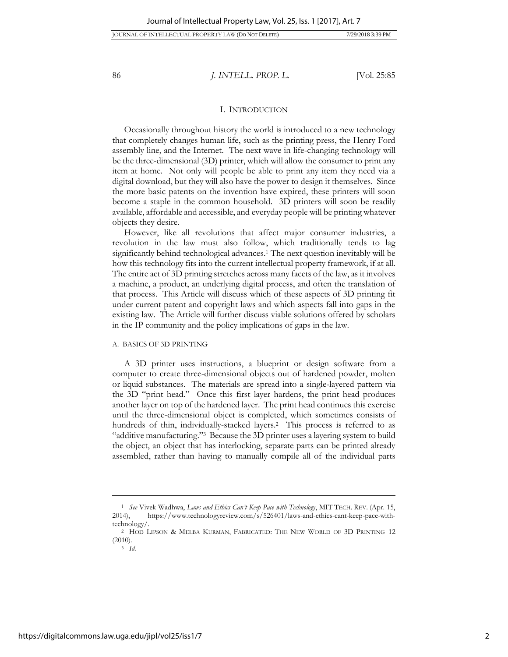#### I. INTRODUCTION

Occasionally throughout history the world is introduced to a new technology that completely changes human life, such as the printing press, the Henry Ford assembly line, and the Internet. The next wave in life-changing technology will be the three-dimensional (3D) printer, which will allow the consumer to print any item at home. Not only will people be able to print any item they need via a digital download, but they will also have the power to design it themselves. Since the more basic patents on the invention have expired, these printers will soon become a staple in the common household. 3D printers will soon be readily available, affordable and accessible, and everyday people will be printing whatever objects they desire.

However, like all revolutions that affect major consumer industries, a revolution in the law must also follow, which traditionally tends to lag significantly behind technological advances.<sup>1</sup> The next question inevitably will be how this technology fits into the current intellectual property framework, if at all. The entire act of 3D printing stretches across many facets of the law, as it involves a machine, a product, an underlying digital process, and often the translation of that process. This Article will discuss which of these aspects of 3D printing fit under current patent and copyright laws and which aspects fall into gaps in the existing law. The Article will further discuss viable solutions offered by scholars in the IP community and the policy implications of gaps in the law.

#### A. BASICS OF 3D PRINTING

A 3D printer uses instructions, a blueprint or design software from a computer to create three-dimensional objects out of hardened powder, molten or liquid substances. The materials are spread into a single-layered pattern via the 3D "print head." Once this first layer hardens, the print head produces another layer on top of the hardened layer. The print head continues this exercise until the three-dimensional object is completed, which sometimes consists of hundreds of thin, individually-stacked layers.<sup>2</sup> This process is referred to as "additive manufacturing."<sup>3</sup> Because the 3D printer uses a layering system to build the object, an object that has interlocking, separate parts can be printed already assembled, rather than having to manually compile all of the individual parts

<sup>1</sup> *See* Vivek Wadhwa, *Laws and Ethics Can't Keep Pace with Technology*, MIT TECH. REV. (Apr. 15, 2014), https://www.technologyreview.com/s/526401/laws-and-ethics-cant-keep-pace-withtechnology/.

<sup>2</sup> HOD LIPSON & MELBA KURMAN, FABRICATED: THE NEW WORLD OF 3D PRINTING 12 (2010).

<sup>3</sup> *Id*.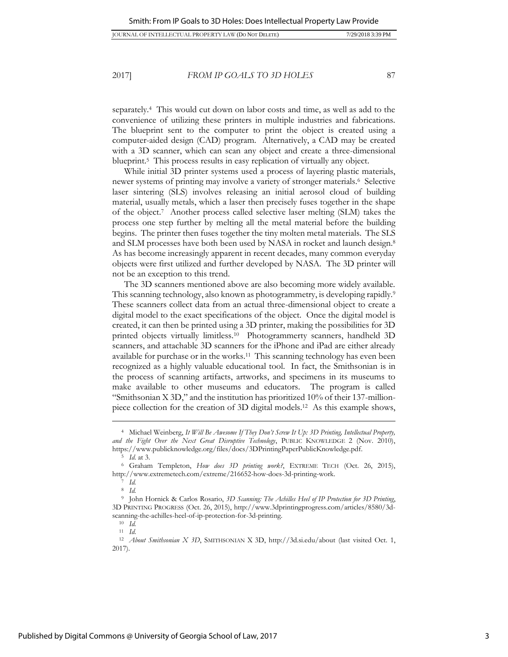separately. <sup>4</sup> This would cut down on labor costs and time, as well as add to the convenience of utilizing these printers in multiple industries and fabrications. The blueprint sent to the computer to print the object is created using a computer-aided design (CAD) program. Alternatively, a CAD may be created with a 3D scanner, which can scan any object and create a three-dimensional blueprint.<sup>5</sup> This process results in easy replication of virtually any object.

While initial 3D printer systems used a process of layering plastic materials, newer systems of printing may involve a variety of stronger materials.<sup>6</sup> Selective laser sintering (SLS) involves releasing an initial aerosol cloud of building material, usually metals, which a laser then precisely fuses together in the shape of the object.<sup>7</sup> Another process called selective laser melting (SLM) takes the process one step further by melting all the metal material before the building begins. The printer then fuses together the tiny molten metal materials. The SLS and SLM processes have both been used by NASA in rocket and launch design.<sup>8</sup> As has become increasingly apparent in recent decades, many common everyday objects were first utilized and further developed by NASA. The 3D printer will not be an exception to this trend.

The 3D scanners mentioned above are also becoming more widely available. This scanning technology, also known as photogrammetry, is developing rapidly.<sup>9</sup> These scanners collect data from an actual three-dimensional object to create a digital model to the exact specifications of the object. Once the digital model is created, it can then be printed using a 3D printer, making the possibilities for 3D printed objects virtually limitless.<sup>10</sup> Photogrammerty scanners, handheld 3D scanners, and attachable 3D scanners for the iPhone and iPad are either already available for purchase or in the works.<sup>11</sup> This scanning technology has even been recognized as a highly valuable educational tool. In fact, the Smithsonian is in the process of scanning artifacts, artworks, and specimens in its museums to make available to other museums and educators. The program is called "Smithsonian X 3D," and the institution has prioritized 10% of their 137-millionpiece collection for the creation of 3D digital models.<sup>12</sup> As this example shows,

<sup>4</sup> Michael Weinberg, *It Will Be Awesome If They Don't Screw It Up: 3D Printing, Intellectual Property, and the Fight Over the Next Great Disruptive Technology*, PUBLIC KNOWLEDGE 2 (Nov. 2010), https://www.publicknowledge.org/files/docs/3DPrintingPaperPublicKnowledge.pdf.

<sup>5</sup> *Id*. at 3.

<sup>6</sup> Graham Templeton, *How does 3D printing work?*, EXTREME TECH (Oct. 26, 2015), http://www.extremetech.com/extreme/216652-how-does-3d-printing-work.

<sup>7</sup> *Id.*

<sup>8</sup> *Id.*

<sup>9</sup> John Hornick & Carlos Rosario, *3D Scanning: The Achilles Heel of IP Protection for 3D Printing*, 3D PRINTING PROGRESS (Oct. 26, 2015), http://www.3dprintingprogress.com/articles/8580/3dscanning-the-achilles-heel-of-ip-protection-for-3d-printing.

<sup>10</sup> *Id.* <sup>11</sup> *Id*.

<sup>12</sup> *About Smithsonian X 3D*, SMITHSONIAN X 3D, http://3d.si.edu/about (last visited Oct. 1, 2017).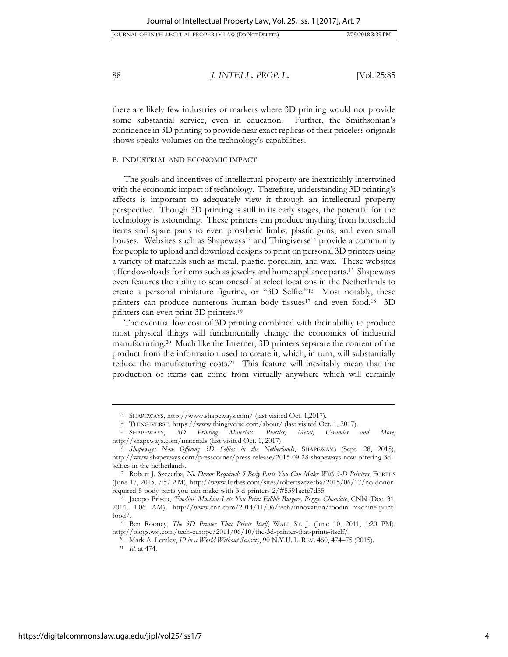| IOURNAL OF INTELLECTUAL PROPERTY LAW (Do Not Delete) | 7/29/2018 3:39 PM |
|------------------------------------------------------|-------------------|
|------------------------------------------------------|-------------------|

there are likely few industries or markets where 3D printing would not provide some substantial service, even in education. Further, the Smithsonian's confidence in 3D printing to provide near exact replicas of their priceless originals shows speaks volumes on the technology's capabilities.

#### B. INDUSTRIAL AND ECONOMIC IMPACT

The goals and incentives of intellectual property are inextricably intertwined with the economic impact of technology. Therefore, understanding 3D printing's affects is important to adequately view it through an intellectual property perspective. Though 3D printing is still in its early stages, the potential for the technology is astounding. These printers can produce anything from household items and spare parts to even prosthetic limbs, plastic guns, and even small houses. Websites such as Shapeways<sup>13</sup> and Thingiverse<sup>14</sup> provide a community for people to upload and download designs to print on personal 3D printers using a variety of materials such as metal, plastic, porcelain, and wax. These websites offer downloads for items such as jewelry and home appliance parts.<sup>15</sup> Shapeways even features the ability to scan oneself at select locations in the Netherlands to create a personal miniature figurine, or "3D Selfie."<sup>16</sup> Most notably, these printers can produce numerous human body tissues<sup>17</sup> and even food.<sup>18</sup> 3D printers can even print 3D printers. 19

The eventual low cost of 3D printing combined with their ability to produce most physical things will fundamentally change the economics of industrial manufacturing.<sup>20</sup> Much like the Internet, 3D printers separate the content of the product from the information used to create it, which, in turn, will substantially reduce the manufacturing costs. <sup>21</sup> This feature will inevitably mean that the production of items can come from virtually anywhere which will certainly

<sup>13</sup> SHAPEWAYS, http://www.shapeways.com/ (last visited Oct. 1,2017).

<sup>14</sup> THINGIVERSE, https://www.thingiverse.com/about/ (last visited Oct. 1, 2017).

<sup>15</sup> SHAPEWAYS, *3D Printing Materials: Plastics, Metal, Ceramics and More*, <http://shapeways.com/materials> (last visited Oct. 1, 2017).

<sup>16</sup> *Shapeways Now Offering 3D Selfies in the Netherlands*, SHAPEWAYS (Sept. 28, 2015), http://www.shapeways.com/presscorner/press-release/2015-09-28-shapeways-now-offering-3dselfies-in-the-netherlands.

<sup>17</sup> Robert J. Szczerba, *No Donor Required: 5 Body Parts You Can Make With 3-D Printers*, FORBES (June 17, 2015, 7:57 AM), http://www.forbes.com/sites/robertszczerba/2015/06/17/no-donorrequired-5-body-parts-you-can-make-with-3-d-printers-2/#5391aefc7d55.

<sup>18</sup> Jacopo Prisco, *'Foodini' Machine Lets You Print Edible Burgers, Pizza, Chocolate*, CNN (Dec. 31, 2014, 1:06 AM), http://www.cnn.com/2014/11/06/tech/innovation/foodini-machine-printfood/.

<sup>19</sup> Ben Rooney, *The 3D Printer That Prints Itself*, WALL ST. J. (June 10, 2011, 1:20 PM), http://blogs.wsj.com/tech-europe/2011/06/10/the-3d-printer-that-prints-itself/.

<sup>20</sup> Mark A. Lemley, *IP in a World Without Scarcity*, 90 N.Y.U. L. REV. 460, 474–75 (2015).

<sup>21</sup> *Id.* at 474.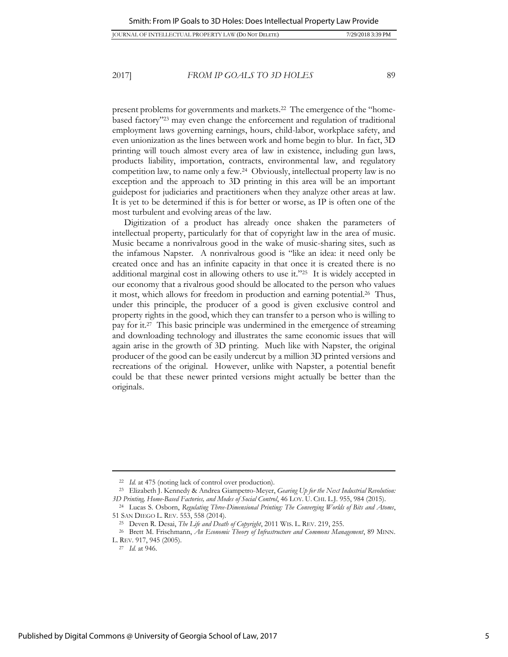JOURNAL OF INTELLECTUAL PROPERTY LAW (DO NOT DELETE) 7/29/2018 3:39 PM

2017] *FROM IP GOALS TO 3D HOLES* 89

present problems for governments and markets.<sup>22</sup> The emergence of the "homebased factory"<sup>23</sup> may even change the enforcement and regulation of traditional employment laws governing earnings, hours, child-labor, workplace safety, and even unionization as the lines between work and home begin to blur. In fact, 3D printing will touch almost every area of law in existence, including gun laws, products liability, importation, contracts, environmental law, and regulatory competition law, to name only a few.<sup>24</sup> Obviously, intellectual property law is no exception and the approach to 3D printing in this area will be an important guidepost for judiciaries and practitioners when they analyze other areas at law. It is yet to be determined if this is for better or worse, as IP is often one of the most turbulent and evolving areas of the law.

Digitization of a product has already once shaken the parameters of intellectual property, particularly for that of copyright law in the area of music. Music became a nonrivalrous good in the wake of music-sharing sites, such as the infamous Napster. A nonrivalrous good is "like an idea: it need only be created once and has an infinite capacity in that once it is created there is no additional marginal cost in allowing others to use it."<sup>25</sup> It is widely accepted in our economy that a rivalrous good should be allocated to the person who values it most, which allows for freedom in production and earning potential.<sup>26</sup> Thus, under this principle, the producer of a good is given exclusive control and property rights in the good, which they can transfer to a person who is willing to pay for it.<sup>27</sup> This basic principle was undermined in the emergence of streaming and downloading technology and illustrates the same economic issues that will again arise in the growth of 3D printing. Much like with Napster, the original producer of the good can be easily undercut by a million 3D printed versions and recreations of the original. However, unlike with Napster, a potential benefit could be that these newer printed versions might actually be better than the originals.

<sup>22</sup> *Id.* at 475 (noting lack of control over production).

<sup>23</sup> Elizabeth J. Kennedy & Andrea Giampetro-Meyer, *Gearing Up for the Next Industrial Revolution: 3D Printing, Home-Based Factories, and Modes of Social Control*, 46 LOY. U. CHI. L.J. 955, 984 (2015).

<sup>24</sup> Lucas S. Osborn, *Regulating Three-Dimensional Printing: The Converging Worlds of Bits and Atoms*, 51 SAN DIEGO L. REV. 553, 558 (2014).

<sup>25</sup> Deven R. Desai, *The Life and Death of Copyright*, 2011 WIS. L. REV. 219, 255.

<sup>26</sup> Brett M. Frischmann, *An Economic Theory of Infrastructure and Commons Management*, 89 MINN. L. REV. 917, 945 (2005).

<sup>27</sup> *Id.* at 946.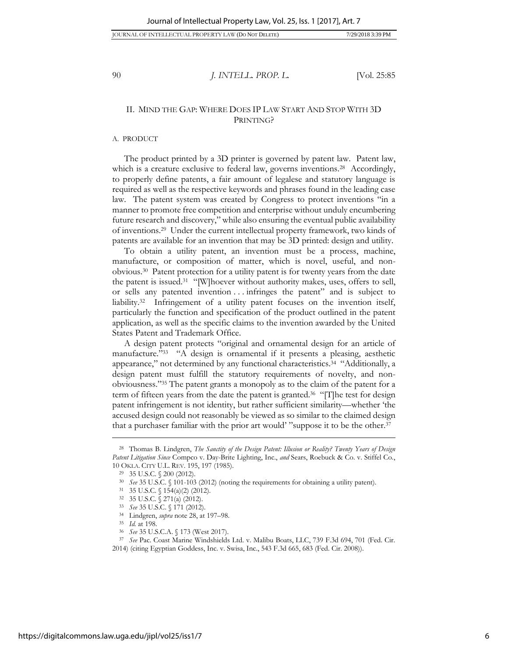# II. MIND THE GAP: WHERE DOES IP LAW START AND STOP WITH 3D PRINTING?

#### A. PRODUCT

The product printed by a 3D printer is governed by patent law. Patent law, which is a creature exclusive to federal law, governs inventions.<sup>28</sup> Accordingly, to properly define patents, a fair amount of legalese and statutory language is required as well as the respective keywords and phrases found in the leading case law. The patent system was created by Congress to protect inventions "in a manner to promote free competition and enterprise without unduly encumbering future research and discovery," while also ensuring the eventual public availability of inventions.<sup>29</sup> Under the current intellectual property framework, two kinds of patents are available for an invention that may be 3D printed: design and utility.

To obtain a utility patent, an invention must be a process, machine, manufacture, or composition of matter, which is novel, useful, and nonobvious.<sup>30</sup> Patent protection for a utility patent is for twenty years from the date the patent is issued.<sup>31</sup> "[W]hoever without authority makes, uses, offers to sell, or sells any patented invention . . . infringes the patent" and is subject to liability.<sup>32</sup> Infringement of a utility patent focuses on the invention itself, particularly the function and specification of the product outlined in the patent application, as well as the specific claims to the invention awarded by the United States Patent and Trademark Office.

A design patent protects "original and ornamental design for an article of manufacture."<sup>33</sup> "A design is ornamental if it presents a pleasing, aesthetic appearance," not determined by any functional characteristics.<sup>34</sup> "Additionally, a design patent must fulfill the statutory requirements of novelty, and nonobviousness." <sup>35</sup> The patent grants a monopoly as to the claim of the patent for a term of fifteen years from the date the patent is granted.<sup>36</sup> "[T]he test for design patent infringement is not identity, but rather sufficient similarity—whether 'the accused design could not reasonably be viewed as so similar to the claimed design that a purchaser familiar with the prior art would' "suppose it to be the other.<sup>37</sup>

<sup>28</sup> Thomas B. Lindgren, *The Sanctity of the Design Patent: Illusion or Reality? Twenty Years of Design Patent Litigation Since* Compco v. Day-Brite Lighting, Inc., *and* Sears, Roebuck & Co. v. Stiffel Co., 10 OKLA. CITY U.L. REV. 195, 197 (1985).

<sup>29</sup> 35 U.S.C. § 200 (2012).

<sup>30</sup> *See* 35 U.S.C. § 101-103 (2012) (noting the requirements for obtaining a utility patent).

<sup>31</sup> 35 U.S.C. § 154(a)(2) (2012).

<sup>32</sup> 35 U.S.C. § 271(a) (2012).

<sup>33</sup> *See* 35 U.S.C. § 171 (2012).

<sup>34</sup> Lindgren, *supra* note 28, at 197–98.

<sup>35</sup> *Id.* at 198.

<sup>36</sup> *See* 35 U.S.C.A. § 173 (West 2017).

<sup>37</sup> *See* Pac. Coast Marine Windshields Ltd. v. Malibu Boats, LLC, 739 F.3d 694, 701 (Fed. Cir. 2014) (citing Egyptian Goddess, Inc. v. Swisa, Inc., 543 F.3d 665, 683 (Fed. Cir. 2008)).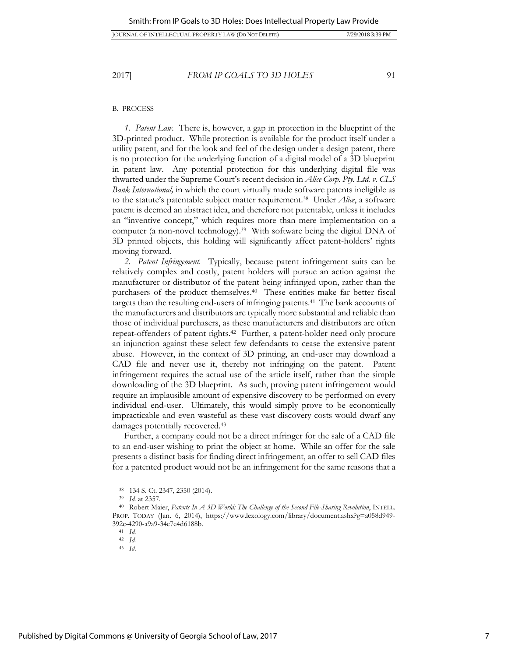#### B. PROCESS

*1. Patent Law.* There is, however, a gap in protection in the blueprint of the 3D-printed product. While protection is available for the product itself under a utility patent, and for the look and feel of the design under a design patent, there is no protection for the underlying function of a digital model of a 3D blueprint in patent law. Any potential protection for this underlying digital file was thwarted under the Supreme Court's recent decision in *Alice Corp. Pty. Ltd. v. CLS Bank International,* in which the court virtually made software patents ineligible as to the statute's patentable subject matter requirement.<sup>38</sup> Under *Alice*, a software patent is deemed an abstract idea, and therefore not patentable, unless it includes an "inventive concept," which requires more than mere implementation on a computer (a non-novel technology).<sup>39</sup> With software being the digital DNA of 3D printed objects, this holding will significantly affect patent-holders' rights moving forward.

*2. Patent Infringement.* Typically, because patent infringement suits can be relatively complex and costly, patent holders will pursue an action against the manufacturer or distributor of the patent being infringed upon, rather than the purchasers of the product themselves.<sup>40</sup> These entities make far better fiscal targets than the resulting end-users of infringing patents.<sup>41</sup> The bank accounts of the manufacturers and distributors are typically more substantial and reliable than those of individual purchasers, as these manufacturers and distributors are often repeat-offenders of patent rights.<sup>42</sup> Further, a patent-holder need only procure an injunction against these select few defendants to cease the extensive patent abuse. However, in the context of 3D printing, an end-user may download a CAD file and never use it, thereby not infringing on the patent. Patent infringement requires the actual use of the article itself, rather than the simple downloading of the 3D blueprint. As such, proving patent infringement would require an implausible amount of expensive discovery to be performed on every individual end-user. Ultimately, this would simply prove to be economically impracticable and even wasteful as these vast discovery costs would dwarf any damages potentially recovered.<sup>43</sup>

Further, a company could not be a direct infringer for the sale of a CAD file to an end-user wishing to print the object at home. While an offer for the sale presents a distinct basis for finding direct infringement, an offer to sell CAD files for a patented product would not be an infringement for the same reasons that a

<sup>38</sup> 134 S. Ct. 2347, 2350 (2014).

<sup>39</sup> *Id.* at 2357.

<sup>40</sup> Robert Maier, *Patents In A 3D World: The Challenge of the Second File-Sharing Revolution*, INTELL. PROP. TODAY (Jan. 6, 2014), https://www.lexology.com/library/document.ashx?g=a058d949-392c-4290-a9a9-34e7e4d6188b.

<sup>41</sup> *Id.* <sup>42</sup> *Id.*

<sup>43</sup> *Id*.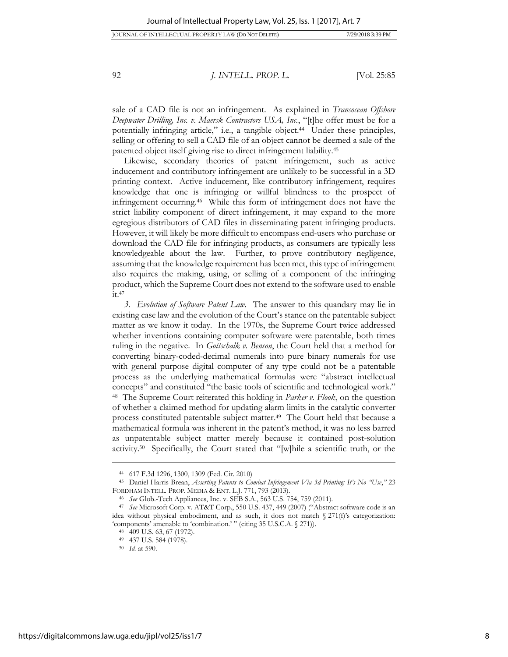<span id="page-8-0"></span>

sale of a CAD file is not an infringement. As explained in *Transocean Offshore Deepwater Drilling, Inc. v. Maersk Contractors USA, Inc.*, "[t]he offer must be for a potentially infringing article," i.e., a tangible object.<sup>44</sup> Under these principles, selling or offering to sell a CAD file of an object cannot be deemed a sale of the patented object itself giving rise to direct infringement liability.<sup>45</sup>

Likewise, secondary theories of patent infringement, such as active inducement and contributory infringement are unlikely to be successful in a 3D printing context. Active inducement, like contributory infringement, requires knowledge that one is infringing or willful blindness to the prospect of infringement occurring.<sup>46</sup> While this form of infringement does not have the strict liability component of direct infringement, it may expand to the more egregious distributors of CAD files in disseminating patent infringing products. However, it will likely be more difficult to encompass end-users who purchase or download the CAD file for infringing products, as consumers are typically less knowledgeable about the law. Further, to prove contributory negligence, assuming that the knowledge requirement has been met, this type of infringement also requires the making, using, or selling of a component of the infringing product, which the Supreme Court does not extend to the software used to enable it.<sup>47</sup>

*3. Evolution of Software Patent Law.* The answer to this quandary may lie in existing case law and the evolution of the Court's stance on the patentable subject matter as we know it today. In the 1970s, the Supreme Court twice addressed whether inventions containing computer software were patentable, both times ruling in the negative. In *Gottschalk v. Benson*, the Court held that a method for converting binary-coded-decimal numerals into pure binary numerals for use with general purpose digital computer of any type could not be a patentable process as the underlying mathematical formulas were "abstract intellectual concepts" and constituted "the basic tools of scientific and technological work." <sup>48</sup> The Supreme Court reiterated this holding in *Parker v. Flook*, on the question of whether a claimed method for updating alarm limits in the catalytic converter process constituted patentable subject matter. <sup>49</sup> The Court held that because a mathematical formula was inherent in the patent's method, it was no less barred as unpatentable subject matter merely because it contained post-solution activity.<sup>50</sup> Specifically, the Court stated that "[w]hile a scientific truth, or the

<sup>44</sup> 617 F.3d 1296, 1300, 1309 (Fed. Cir. 2010)

<sup>45</sup> Daniel Harris Brean, *Asserting Patents to Combat Infringement Via 3d Printing: It's No "Use*,*"* 23 FORDHAM INTELL. PROP. MEDIA & ENT. L.J. 771, 793 (2013).

<sup>46</sup> *See* Glob.-Tech Appliances, Inc. v. SEB S.A., 563 U.S. 754, 759 (2011).

<sup>47</sup> *See* Microsoft Corp. v. AT&T Corp., 550 U.S. 437, 449 (2007) ("Abstract software code is an idea without physical embodiment, and as such, it does not match  $\S 271(f)$ 's categorization: 'components' amenable to 'combination.' " (citing 35 U.S.C.A. § 271)).

<sup>48</sup> 409 U.S. 63, 67 (1972).

<sup>49</sup> 437 U.S. 584 (1978).

<sup>50</sup> *Id.* at 590.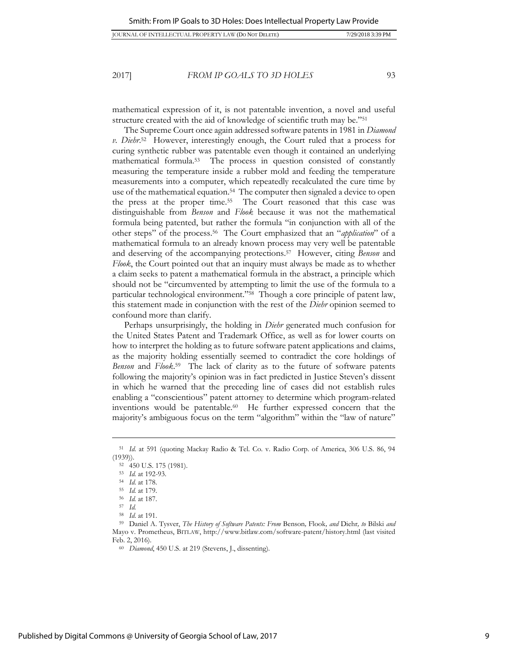mathematical expression of it, is not patentable invention, a novel and useful structure created with the aid of knowledge of scientific truth may be."<sup>51</sup>

The Supreme Court once again addressed software patents in 1981 in *Diamond v. Diehr*. <sup>52</sup> However, interestingly enough, the Court ruled that a process for curing synthetic rubber was patentable even though it contained an underlying mathematical formula.<sup>53</sup> The process in question consisted of constantly measuring the temperature inside a rubber mold and feeding the temperature measurements into a computer, which repeatedly recalculated the cure time by use of the mathematical equation.<sup>54</sup> The computer then signaled a device to open the press at the proper time.<sup>55</sup> The Court reasoned that this case was distinguishable from *Benson* and *Flook* because it was not the mathematical formula being patented, but rather the formula "in conjunction with all of the other steps" of the process.<sup>56</sup> The Court emphasized that an "*application*" of a mathematical formula to an already known process may very well be patentable and deserving of the accompanying protections.<sup>57</sup> However, citing *Benson* and *Flook*, the Court pointed out that an inquiry must always be made as to whether a claim seeks to patent a mathematical formula in the abstract, a principle which should not be "circumvented by attempting to limit the use of the formula to a particular technological environment."<sup>58</sup> Though a core principle of patent law, this statement made in conjunction with the rest of the *Diehr* opinion seemed to confound more than clarify.

Perhaps unsurprisingly, the holding in *Diehr* generated much confusion for the United States Patent and Trademark Office, as well as for lower courts on how to interpret the holding as to future software patent applications and claims, as the majority holding essentially seemed to contradict the core holdings of *Benson* and *Flook*. <sup>59</sup> The lack of clarity as to the future of software patents following the majority's opinion was in fact predicted in Justice Steven's dissent in which he warned that the preceding line of cases did not establish rules enabling a "conscientious" patent attorney to determine which program-related inventions would be patentable.<sup>60</sup> He further expressed concern that the majority's ambiguous focus on the term "algorithm" within the "law of nature"

<sup>51</sup> *Id*. at 591 (quoting Mackay Radio & Tel. Co. v. Radio Corp. of America, 306 U.S. 86, 94 (1939)).

<sup>52</sup> 450 U.S. 175 (1981).

<sup>53</sup> *Id.* at 192-93.

<sup>54</sup> *Id*. at 178.

<sup>55</sup> *Id.* at 179.

<sup>56</sup> *Id.* at 187.

<sup>57</sup> *Id.*

<sup>58</sup> *Id*. at 191.

<sup>59</sup> Daniel A. Tysver, *The History of Software Patents: From* Benson*,* Flook*, and* Diehr*, to* Bilski *and*  Mayo v. Prometheus, BITLAW, http://www.bitlaw.com/software-patent/history.html (last visited Feb. 2, 2016).

<sup>60</sup> *Diamond*, 450 U.S. at 219 (Stevens, J., dissenting).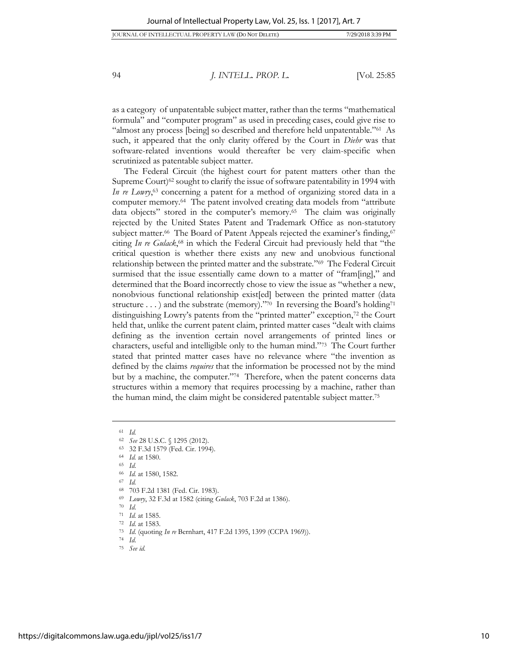as a category of unpatentable subject matter, rather than the terms "mathematical formula" and "computer program" as used in preceding cases, could give rise to "almost any process [being] so described and therefore held unpatentable."<sup>61</sup> As such, it appeared that the only clarity offered by the Court in *Diehr* was that software-related inventions would thereafter be very claim-specific when scrutinized as patentable subject matter.

The Federal Circuit (the highest court for patent matters other than the Supreme Court)<sup>62</sup> sought to clarify the issue of software patentability in 1994 with *In re Lowry*, <sup>63</sup> concerning a patent for a method of organizing stored data in a computer memory.<sup>64</sup> The patent involved creating data models from "attribute data objects" stored in the computer's memory.<sup>65</sup> The claim was originally rejected by the United States Patent and Trademark Office as non-statutory subject matter.<sup>66</sup> The Board of Patent Appeals rejected the examiner's finding,<sup>67</sup> citing *In re Gulack*, <sup>68</sup> in which the Federal Circuit had previously held that "the critical question is whether there exists any new and unobvious functional relationship between the printed matter and the substrate."<sup>69</sup> The Federal Circuit surmised that the issue essentially came down to a matter of "fram[ing]," and determined that the Board incorrectly chose to view the issue as "whether a new, nonobvious functional relationship exist[ed] between the printed matter (data structure . . . ) and the substrate (memory)."70 In reversing the Board's holding71 distinguishing Lowry's patents from the "printed matter" exception,<sup>72</sup> the Court held that, unlike the current patent claim, printed matter cases "dealt with claims defining as the invention certain novel arrangements of printed lines or characters, useful and intelligible only to the human mind."<sup>73</sup> The Court further stated that printed matter cases have no relevance where "the invention as defined by the claims *requires* that the information be processed not by the mind but by a machine, the computer."<sup>74</sup> Therefore, when the patent concerns data structures within a memory that requires processing by a machine, rather than the human mind, the claim might be considered patentable subject matter.<sup>75</sup>

 $\overline{a}$ 

<sup>63</sup> 32 F.3d 1579 (Fed. Cir. 1994).

- 
- <sup>66</sup> *Id.* at 1580, 1582.
- <sup>67</sup> *Id.*
- <sup>68</sup> 703 F.2d 1381 (Fed. Cir. 1983).
- <sup>69</sup> *Lowry*, 32 F.3d at 1582 (citing *Gulack*, 703 F.2d at 1386).
- <sup>70</sup> *Id*.

<sup>72</sup> *Id*. at 1583.

<sup>74</sup> *Id*.

<sup>61</sup> *Id.*

<sup>62</sup> *See* 28 U.S.C. § 1295 (2012).

<sup>64</sup> *Id.* at 1580. <sup>65</sup> *Id*.

<sup>71</sup> *Id.* at 1585.

<sup>73</sup> *Id*. (quoting *In re* Bernhart, 417 F.2d 1395, 1399 (CCPA 1969)).

<sup>75</sup> *See id*.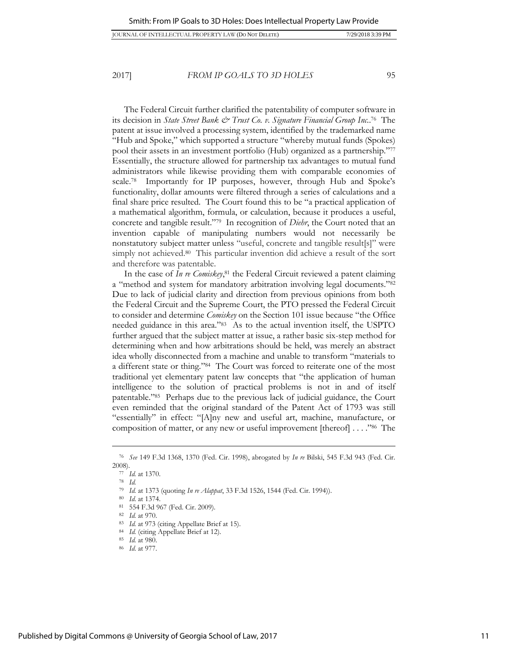The Federal Circuit further clarified the patentability of computer software in its decision in *State Street Bank & Trust Co. v. Signature Financial Group Inc.*. <sup>76</sup> The patent at issue involved a processing system, identified by the trademarked name "Hub and Spoke," which supported a structure "whereby mutual funds (Spokes) pool their assets in an investment portfolio (Hub) organized as a partnership."<sup>77</sup> Essentially, the structure allowed for partnership tax advantages to mutual fund administrators while likewise providing them with comparable economies of scale.<sup>78</sup> Importantly for IP purposes, however, through Hub and Spoke's functionality, dollar amounts were filtered through a series of calculations and a final share price resulted. The Court found this to be "a practical application of a mathematical algorithm, formula, or calculation, because it produces a useful, concrete and tangible result."<sup>79</sup> In recognition of *Diehr*, the Court noted that an invention capable of manipulating numbers would not necessarily be nonstatutory subject matter unless "useful, concrete and tangible result[s]" were simply not achieved.<sup>80</sup> This particular invention did achieve a result of the sort and therefore was patentable.

In the case of *In re Comiskey*, <sup>81</sup> the Federal Circuit reviewed a patent claiming a "method and system for mandatory arbitration involving legal documents."<sup>82</sup> Due to lack of judicial clarity and direction from previous opinions from both the Federal Circuit and the Supreme Court, the PTO pressed the Federal Circuit to consider and determine *Comiskey* on the Section 101 issue because "the Office needed guidance in this area."<sup>83</sup> As to the actual invention itself, the USPTO further argued that the subject matter at issue, a rather basic six-step method for determining when and how arbitrations should be held, was merely an abstract idea wholly disconnected from a machine and unable to transform "materials to a different state or thing."<sup>84</sup> The Court was forced to reiterate one of the most traditional yet elementary patent law concepts that "the application of human intelligence to the solution of practical problems is not in and of itself patentable."<sup>85</sup> Perhaps due to the previous lack of judicial guidance, the Court even reminded that the original standard of the Patent Act of 1793 was still "essentially" in effect: "[A]ny new and useful art, machine, manufacture, or composition of matter, or any new or useful improvement [thereof] . . . ."<sup>86</sup> The

<sup>76</sup> *See* 149 F.3d 1368, 1370 (Fed. Cir. 1998), abrogated by *In re* Bilski, 545 F.3d 943 (Fed. Cir. 2008).

<sup>77</sup> *Id.* at 1370.

<sup>78</sup> *Id.*

<sup>79</sup> *Id.* at 1373 (quoting *In re Alappat*, 33 F.3d 1526, 1544 (Fed. Cir. 1994)).

<sup>80</sup> *Id*. at 1374.

<sup>81</sup> 554 F.3d 967 (Fed. Cir. 2009).

<sup>82</sup> *Id.* at 970.

<sup>83</sup> *Id.* at 973 (citing Appellate Brief at 15).

<sup>84</sup> *Id.* (citing Appellate Brief at 12).

<sup>85</sup> *Id.* at 980.

<sup>86</sup> *Id*. at 977.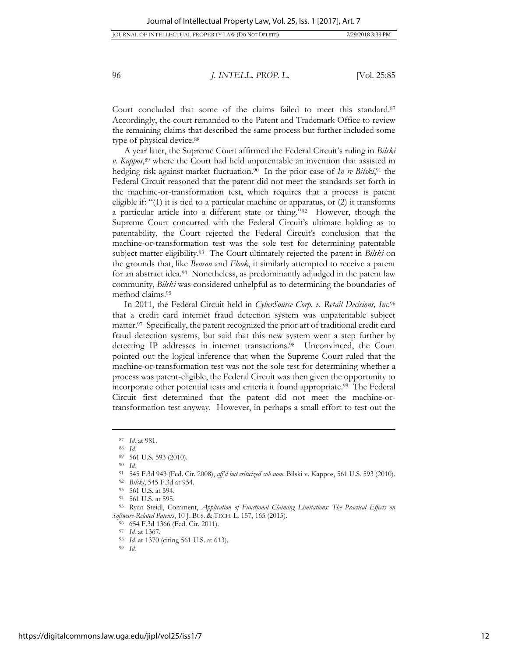Court concluded that some of the claims failed to meet this standard.<sup>87</sup> Accordingly, the court remanded to the Patent and Trademark Office to review the remaining claims that described the same process but further included some type of physical device.<sup>88</sup>

A year later, the Supreme Court affirmed the Federal Circuit's ruling in *Bilski v. Kappos*, <sup>89</sup> where the Court had held unpatentable an invention that assisted in hedging risk against market fluctuation.<sup>90</sup> In the prior case of *In re Bilski*, <sup>91</sup> the Federal Circuit reasoned that the patent did not meet the standards set forth in the machine-or-transformation test, which requires that a process is patent eligible if: "(1) it is tied to a particular machine or apparatus, or (2) it transforms a particular article into a different state or thing."<sup>92</sup> However, though the Supreme Court concurred with the Federal Circuit's ultimate holding as to patentability, the Court rejected the Federal Circuit's conclusion that the machine-or-transformation test was the sole test for determining patentable subject matter eligibility.<sup>93</sup> The Court ultimately rejected the patent in *Bilski* on the grounds that, like *Benson* and *Flook*, it similarly attempted to receive a patent for an abstract idea.<sup>94</sup> Nonetheless, as predominantly adjudged in the patent law community, *Bilski* was considered unhelpful as to determining the boundaries of method claims.<sup>95</sup>

In 2011, the Federal Circuit held in *CyberSource Corp. v. Retail Decisions, Inc.*<sup>96</sup> that a credit card internet fraud detection system was unpatentable subject matter.<sup>97</sup> Specifically, the patent recognized the prior art of traditional credit card fraud detection systems, but said that this new system went a step further by detecting IP addresses in internet transactions.<sup>98</sup> Unconvinced, the Court pointed out the logical inference that when the Supreme Court ruled that the machine-or-transformation test was not the sole test for determining whether a process was patent-eligible, the Federal Circuit was then given the opportunity to incorporate other potential tests and criteria it found appropriate.<sup>99</sup> The Federal Circuit first determined that the patent did not meet the machine-ortransformation test anyway. However, in perhaps a small effort to test out the

<sup>90</sup> *Id.*

 $\overline{a}$ 

<sup>99</sup> *Id.*

<sup>87</sup> *Id*. at 981.

<sup>88</sup> *Id*.

<sup>89</sup> 561 U.S. 593 (2010).

<sup>91</sup> 545 F.3d 943 (Fed. Cir. 2008), *aff'd but criticized sub nom.* Bilski v. Kappos, 561 U.S. 593 (2010).

<sup>92</sup> *Bilski*, 545 F.3d at 954.

<sup>93</sup> 561 U.S. at 594.

<sup>94</sup> 561 U.S. at 595.

<sup>95</sup> Ryan Steidl, Comment, *Application of Functional Claiming Limitations: The Practical Effects on Software-Related Patents*, 10 J. BUS. & TECH. L. 157, 165 (2015).

<sup>96</sup> 654 F.3d 1366 (Fed. Cir. 2011).

<sup>97</sup> *Id.* at 1367.

<sup>98</sup> *Id.* at 1370 (citing 561 U.S. at 613).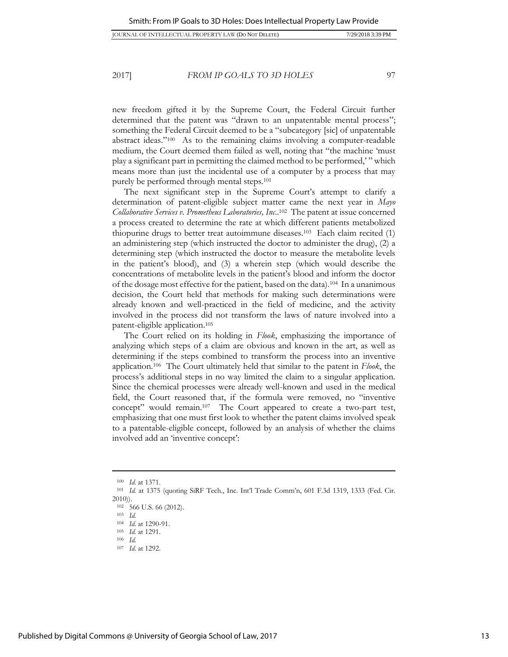new freedom gifted it by the Supreme Court, the Federal Circuit further determined that the patent was "drawn to an unpatentable mental process"; something the Federal Circuit deemed to be a "subcategory [sic] of unpatentable abstract ideas."<sup>100</sup> As to the remaining claims involving a computer-readable medium, the Court deemed them failed as well, noting that "the machine 'must play a significant part in permitting the claimed method to be performed,' " which means more than just the incidental use of a computer by a process that may purely be performed through mental steps.<sup>101</sup>

The next significant step in the Supreme Court's attempt to clarify a determination of patent-eligible subject matter came the next year in *Mayo Collaborative Services v. Prometheus Laboratories, Inc*.. <sup>102</sup> The patent at issue concerned a process created to determine the rate at which different patients metabolized thiopurine drugs to better treat autoimmune diseases.<sup>103</sup> Each claim recited (1) an administering step (which instructed the doctor to administer the drug), (2) a determining step (which instructed the doctor to measure the metabolite levels in the patient's blood), and (3) a wherein step (which would describe the concentrations of metabolite levels in the patient's blood and inform the doctor of the dosage most effective for the patient, based on the data).<sup>104</sup> In a unanimous decision, the Court held that methods for making such determinations were already known and well-practiced in the field of medicine, and the activity involved in the process did not transform the laws of nature involved into a patent-eligible application.<sup>105</sup>

The Court relied on its holding in *Flook*, emphasizing the importance of analyzing which steps of a claim are obvious and known in the art, as well as determining if the steps combined to transform the process into an inventive application.<sup>106</sup> The Court ultimately held that similar to the patent in *Flook*, the process's additional steps in no way limited the claim to a singular application. Since the chemical processes were already well-known and used in the medical field, the Court reasoned that, if the formula were removed, no "inventive concept" would remain.<sup>107</sup> The Court appeared to create a two-part test, emphasizing that one must first look to whether the patent claims involved speak to a patentable-eligible concept, followed by an analysis of whether the claims involved add an 'inventive concept':

<sup>100</sup> *Id*. at 1371.

<sup>101</sup> *Id.* at 1375 (quoting SiRF Tech., Inc. Int'l Trade Comm'n, 601 F.3d 1319, 1333 (Fed. Cir. 2010)).

<sup>102</sup> 566 U.S. 66 (2012).

<sup>103</sup> *Id.* <sup>104</sup> *Id*. at 1290-91.

<sup>105</sup> *Id.* at 1291.

<sup>106</sup> *Id.* 

<sup>107</sup> *Id*. at 1292.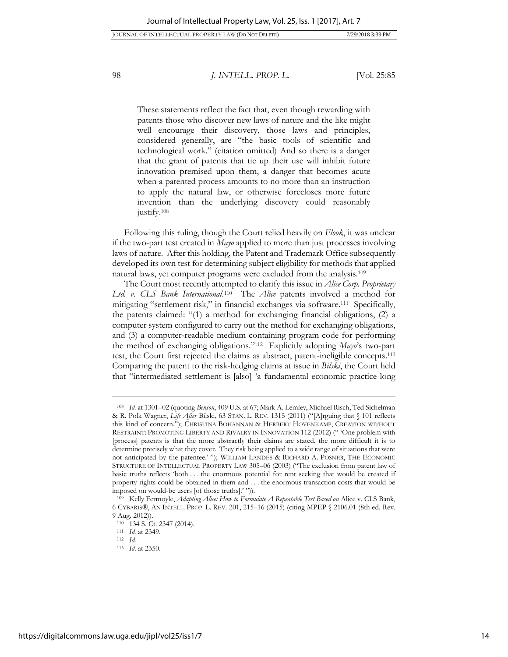These statements reflect the fact that, even though rewarding with patents those who discover new laws of nature and the like might well encourage their discovery, those laws and principles, considered generally, are "the basic tools of scientific and technological work." (citation omitted) And so there is a danger that the grant of patents that tie up their use will inhibit future innovation premised upon them, a danger that becomes acute when a patented process amounts to no more than an instruction to apply the natural law, or otherwise forecloses more future invention than the underlying discovery could reasonably justify.<sup>108</sup>

Following this ruling, though the Court relied heavily on *Flook*, it was unclear if the two-part test created in *Mayo* applied to more than just processes involving laws of nature. After this holding, the Patent and Trademark Office subsequently developed its own test for determining subject eligibility for methods that applied natural laws, yet computer programs were excluded from the analysis.<sup>109</sup>

The Court most recently attempted to clarify this issue in *Alice Corp. Proprietary* Ltd. v. CLS Bank International.<sup>110</sup> The *Alice* patents involved a method for mitigating "settlement risk," in financial exchanges via software.<sup>111</sup> Specifically, the patents claimed: "(1) a method for exchanging financial obligations, (2) a computer system configured to carry out the method for exchanging obligations, and (3) a computer-readable medium containing program code for performing the method of exchanging obligations."<sup>112</sup> Explicitly adopting *Mayo*'s two-part test, the Court first rejected the claims as abstract, patent-ineligible concepts.<sup>113</sup> Comparing the patent to the risk-hedging claims at issue in *Bilski*, the Court held that "intermediated settlement is [also] 'a fundamental economic practice long

<sup>108</sup> *Id.* at 1301–02 (quoting *Benson*, 409 U.S. at 67; Mark A. Lemley, Michael Risch, Ted Sichelman & R. Polk Wagner, *Life After* Bilski, 63 STAN. L. REV. 1315 (2011) ("[A]rguing that § 101 reflects this kind of concern."); CHRISTINA BOHANNAN & HERBERT HOVENKAMP, CREATION WITHOUT RESTRAINT: PROMOTING LIBERTY AND RIVALRY IN INNOVATION 112 (2012) (" 'One problem with [process] patents is that the more abstractly their claims are stated, the more difficult it is to determine precisely what they cover. They risk being applied to a wide range of situations that were not anticipated by the patentee.' "); WILLIAM LANDES & RICHARD A. POSNER, THE ECONOMIC STRUCTURE OF INTELLECTUAL PROPERTY LAW 305–06 (2003) ("The exclusion from patent law of basic truths reflects 'both . . . the enormous potential for rent seeking that would be created if property rights could be obtained in them and . . . the enormous transaction costs that would be imposed on would-be users [of those truths].' ")).

<sup>109</sup> Kelly Fermoyle, *Adapting Alice: How to Formulate A Repeatable Test Based on* Alice v. CLS Bank, 6 CYBARIS®, AN INTELL. PROP. L. REV. 201, 215–16 (2015) (citing MPEP § 2106.01 (8th ed. Rev. 9 Aug. 2012)).

<sup>110</sup> 134 S. Ct. 2347 (2014).

<sup>111</sup> *Id.* at 2349.

<sup>112</sup> *Id*.

<sup>113</sup> *Id*. at 2350.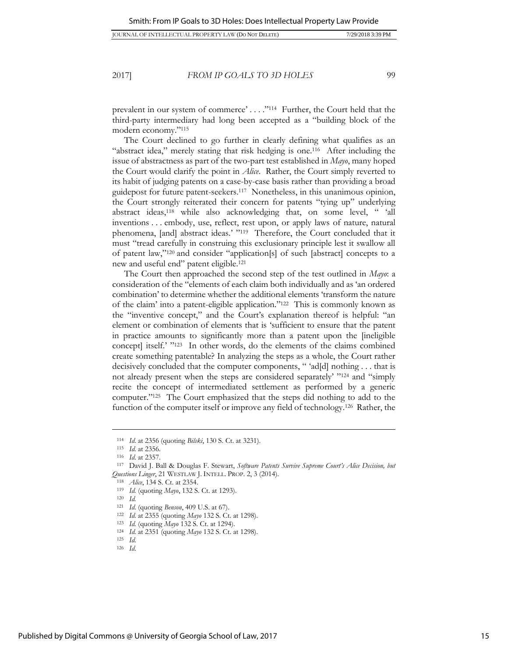prevalent in our system of commerce' . . . ."<sup>114</sup> Further, the Court held that the third-party intermediary had long been accepted as a "building block of the modern economy."<sup>115</sup>

The Court declined to go further in clearly defining what qualifies as an "abstract idea," merely stating that risk hedging is one.<sup>116</sup> After including the issue of abstractness as part of the two-part test established in *Mayo*, many hoped the Court would clarify the point in *Alice*. Rather, the Court simply reverted to its habit of judging patents on a case-by-case basis rather than providing a broad guidepost for future patent-seekers.<sup>117</sup> Nonetheless, in this unanimous opinion, the Court strongly reiterated their concern for patents "tying up" underlying abstract ideas,<sup>118</sup> while also acknowledging that, on some level, " 'all inventions . . . embody, use, reflect, rest upon, or apply laws of nature, natural phenomena, [and] abstract ideas.' "<sup>119</sup> Therefore, the Court concluded that it must "tread carefully in construing this exclusionary principle lest it swallow all of patent law,"<sup>120</sup> and consider "application[s] of such [abstract] concepts to a new and useful end" patent eligible.<sup>121</sup>

The Court then approached the second step of the test outlined in *Mayo*: a consideration of the "elements of each claim both individually and as 'an ordered combination' to determine whether the additional elements 'transform the nature of the claim' into a patent-eligible application."<sup>122</sup> This is commonly known as the "inventive concept," and the Court's explanation thereof is helpful: "an element or combination of elements that is 'sufficient to ensure that the patent in practice amounts to significantly more than a patent upon the [ineligible concept] itself.' " <sup>123</sup> In other words, do the elements of the claims combined create something patentable? In analyzing the steps as a whole, the Court rather decisively concluded that the computer components, " 'ad[d] nothing . . . that is not already present when the steps are considered separately' " <sup>124</sup> and "simply recite the concept of intermediated settlement as performed by a generic computer."<sup>125</sup> The Court emphasized that the steps did nothing to add to the function of the computer itself or improve any field of technology.<sup>126</sup> Rather, the

<sup>114</sup> *Id*. at 2356 (quoting *Bilski*, 130 S. Ct. at 3231).

<sup>115</sup> *Id*. at 2356.

<sup>116</sup> *Id*. at 2357.

<sup>117</sup> David J. Ball & Douglas F. Stewart, *Software Patents Survive Supreme Court's Alice Decision, but Questions Linger*, 21 WESTLAW J. INTELL. PROP. 2, 3 (2014).

<sup>118</sup> *Alice*, 134 S. Ct. at 2354.

<sup>119</sup> *Id.* (quoting *Mayo*, 132 S. Ct. at 1293).

<sup>120</sup> *Id.*

<sup>121</sup> *Id*. (quoting *Benson*, 409 U.S. at 67).

<sup>122</sup> *Id*. at 2355 (quoting *Mayo* 132 S. Ct. at 1298).

<sup>123</sup> *Id.* (quoting *Mayo* 132 S. Ct. at 1294).

<sup>124</sup> *Id.* at 2351 (quoting *Mayo* 132 S. Ct. at 1298).

<sup>125</sup> *Id*.

<sup>126</sup> *Id*.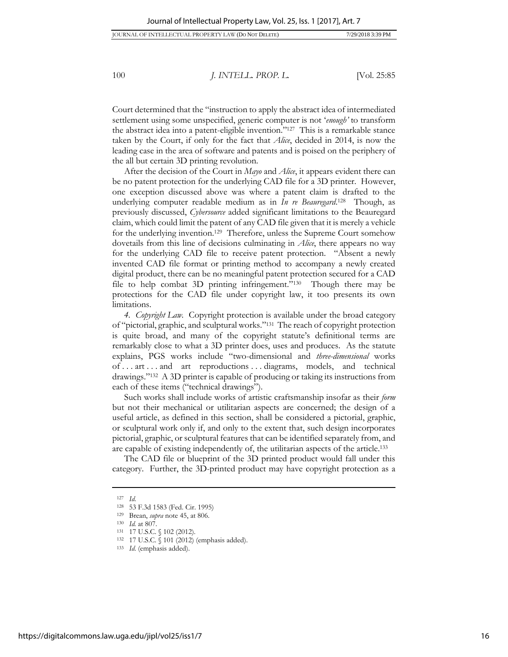Court determined that the "instruction to apply the abstract idea of intermediated settlement using some unspecified, generic computer is not '*enough'* to transform the abstract idea into a patent-eligible invention."<sup>127</sup> This is a remarkable stance taken by the Court, if only for the fact that *Alice*, decided in 2014, is now the leading case in the area of software and patents and is poised on the periphery of the all but certain 3D printing revolution.

After the decision of the Court in *Mayo* and *Alice*, it appears evident there can be no patent protection for the underlying CAD file for a 3D printer. However, one exception discussed above was where a patent claim is drafted to the underlying computer readable medium as in *In re Beauregard*. <sup>128</sup> Though, as previously discussed, *Cybersource* added significant limitations to the Beauregard claim, which could limit the patent of any CAD file given that it is merely a vehicle for the underlying invention.<sup>129</sup> Therefore, unless the Supreme Court somehow dovetails from this line of decisions culminating in *Alice*, there appears no way for the underlying CAD file to receive patent protection. "Absent a newly invented CAD file format or printing method to accompany a newly created digital product, there can be no meaningful patent protection secured for a CAD file to help combat 3D printing infringement."<sup>130</sup> Though there may be protections for the CAD file under copyright law, it too presents its own limitations.

*4. Copyright Law.* Copyright protection is available under the broad category of "pictorial, graphic, and sculptural works."<sup>131</sup> The reach of copyright protection is quite broad, and many of the copyright statute's definitional terms are remarkably close to what a 3D printer does, uses and produces. As the statute explains, PGS works include "two-dimensional and *three-dimensional* works of . . . art . . . and art reproductions . . . diagrams, models, and technical drawings."<sup>132</sup> A 3D printer is capable of producing or taking its instructions from each of these items ("technical drawings").

Such works shall include works of artistic craftsmanship insofar as their *form* but not their mechanical or utilitarian aspects are concerned; the design of a useful article, as defined in this section, shall be considered a pictorial, graphic, or sculptural work only if, and only to the extent that, such design incorporates pictorial, graphic, or sculptural features that can be identified separately from, and are capable of existing independently of, the utilitarian aspects of the article.<sup>133</sup>

The CAD file or blueprint of the 3D printed product would fall under this category. Further, the 3D-printed product may have copyright protection as a

<sup>127</sup> *Id*.

<sup>128</sup> 53 F.3d 1583 (Fed. Cir. 1995)

<sup>129</sup> Brean, *supra* note [45,](#page-8-0) at 806.

<sup>130</sup> *Id.* at 807.

<sup>131 17</sup> U.S.C. § 102 (2012).

<sup>132</sup> 17 U.S.C. § 101 (2012) (emphasis added).

<sup>133</sup> *Id*. (emphasis added).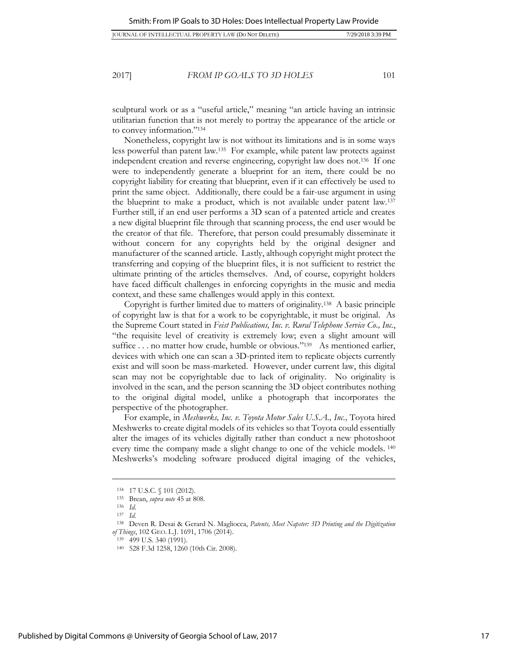sculptural work or as a "useful article," meaning "an article having an intrinsic utilitarian function that is not merely to portray the appearance of the article or to convey information."<sup>134</sup>

Nonetheless, copyright law is not without its limitations and is in some ways less powerful than patent law.<sup>135</sup> For example, while patent law protects against independent creation and reverse engineering, copyright law does not.<sup>136</sup> If one were to independently generate a blueprint for an item, there could be no copyright liability for creating that blueprint, even if it can effectively be used to print the same object. Additionally, there could be a fair-use argument in using the blueprint to make a product, which is not available under patent law.<sup>137</sup> Further still, if an end user performs a 3D scan of a patented article and creates a new digital blueprint file through that scanning process, the end user would be the creator of that file. Therefore, that person could presumably disseminate it without concern for any copyrights held by the original designer and manufacturer of the scanned article. Lastly, although copyright might protect the transferring and copying of the blueprint files, it is not sufficient to restrict the ultimate printing of the articles themselves. And, of course, copyright holders have faced difficult challenges in enforcing copyrights in the music and media context, and these same challenges would apply in this context.

Copyright is further limited due to matters of originality.<sup>138</sup> A basic principle of copyright law is that for a work to be copyrightable, it must be original. As the Supreme Court stated in *Feist Publications, Inc. v. Rural Telephone Service Co., Inc.*, "the requisite level of creativity is extremely low; even a slight amount will suffice . . . no matter how crude, humble or obvious."<sup>139</sup> As mentioned earlier, devices with which one can scan a 3D-printed item to replicate objects currently exist and will soon be mass-marketed. However, under current law, this digital scan may not be copyrightable due to lack of originality. No originality is involved in the scan, and the person scanning the 3D object contributes nothing to the original digital model, unlike a photograph that incorporates the perspective of the photographer.

For example, in *Meshwerks, Inc. v. Toyota Motor Sales U.S.A., Inc.,* Toyota hired Meshwerks to create digital models of its vehicles so that Toyota could essentially alter the images of its vehicles digitally rather than conduct a new photoshoot every time the company made a slight change to one of the vehicle models. <sup>140</sup> Meshwerks's modeling software produced digital imaging of the vehicles,

 $\overline{a}$ 

<sup>139</sup> 499 U.S. 340 (1991).

<sup>134</sup> 17 U.S.C. § 101 (2012).

<sup>135</sup> Brean, *supra note* [45](#page-8-0) at 808.

<sup>136</sup> *Id*. <sup>137</sup> *Id*.

<sup>138</sup> Deven R. Desai & Gerard N. Magliocca, *Patents, Meet Napster: 3D Printing and the Digitization of Things*, 102 GEO. L.J. 1691, 1706 (2014).

<sup>140</sup> 528 F.3d 1258, 1260 (10th Cir. 2008).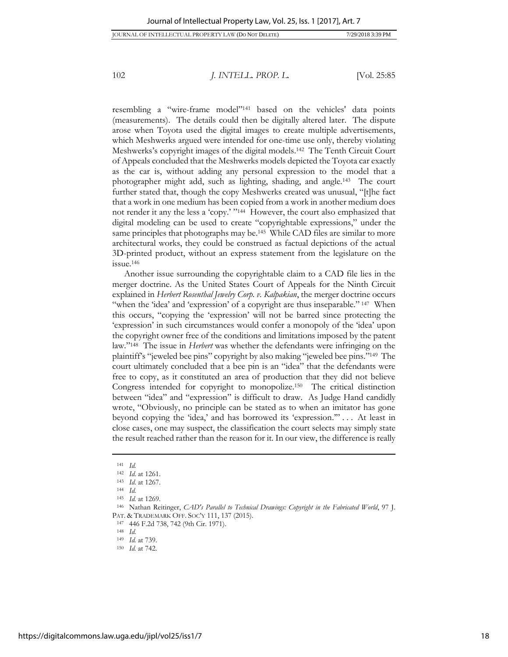JOURNAL OF INTELLECTUAL PROPERTY LAW (DO NOT DELETE) 7/29/2018 3:39 PM

102 *J. INTELL. PROP. L.* [Vol. 2[5:85](#page-1-0)

resembling a "wire-frame model"<sup>141</sup> based on the vehicles' data points (measurements). The details could then be digitally altered later. The dispute arose when Toyota used the digital images to create multiple advertisements, which Meshwerks argued were intended for one-time use only, thereby violating Meshwerks's copyright images of the digital models.<sup>142</sup> The Tenth Circuit Court of Appeals concluded that the Meshwerks models depicted the Toyota car exactly as the car is, without adding any personal expression to the model that a photographer might add, such as lighting, shading, and angle.<sup>143</sup> The court further stated that, though the copy Meshwerks created was unusual, "[t]he fact that a work in one medium has been copied from a work in another medium does not render it any the less a 'copy.' " <sup>144</sup> However, the court also emphasized that digital modeling can be used to create "copyrightable expressions," under the same principles that photographs may be.<sup>145</sup> While CAD files are similar to more architectural works, they could be construed as factual depictions of the actual 3D-printed product, without an express statement from the legislature on the issue.<sup>146</sup>

Another issue surrounding the copyrightable claim to a CAD file lies in the merger doctrine. As the United States Court of Appeals for the Ninth Circuit explained in *Herbert Rosenthal Jewelry Corp. v. Kalpakian*, the merger doctrine occurs "when the 'idea' and 'expression' of a copyright are thus inseparable." <sup>147</sup> When this occurs, "copying the 'expression' will not be barred since protecting the 'expression' in such circumstances would confer a monopoly of the 'idea' upon the copyright owner free of the conditions and limitations imposed by the patent law."<sup>148</sup> The issue in *Herbert* was whether the defendants were infringing on the plaintiff's "jeweled bee pins" copyright by also making "jeweled bee pins."<sup>149</sup> The court ultimately concluded that a bee pin is an "idea" that the defendants were free to copy, as it constituted an area of production that they did not believe Congress intended for copyright to monopolize.<sup>150</sup> The critical distinction between "idea" and "expression" is difficult to draw. As Judge Hand candidly wrote, "Obviously, no principle can be stated as to when an imitator has gone beyond copying the 'idea,' and has borrowed its 'expression.'" . . . At least in close cases, one may suspect, the classification the court selects may simply state the result reached rather than the reason for it. In our view, the difference is really

 $\overline{a}$ 

<sup>147</sup> 446 F.2d 738, 742 (9th Cir. 1971).

<sup>141</sup> *Id.*

<sup>142</sup> *Id*. at 1261.

<sup>143</sup> *Id*. at 1267.

<sup>144</sup> *Id.* 

<sup>145</sup> *Id.* at 1269.

<sup>146</sup> Nathan Reitinger, *CAD's Parallel to Technical Drawings: Copyright in the Fabricated World*, 97 J. PAT. & TRADEMARK OFF. SOC'Y 111, 137 (2015).

<sup>148</sup> *Id.*

<sup>149</sup> *Id.* at 739.

<sup>150</sup> *Id.* at 742.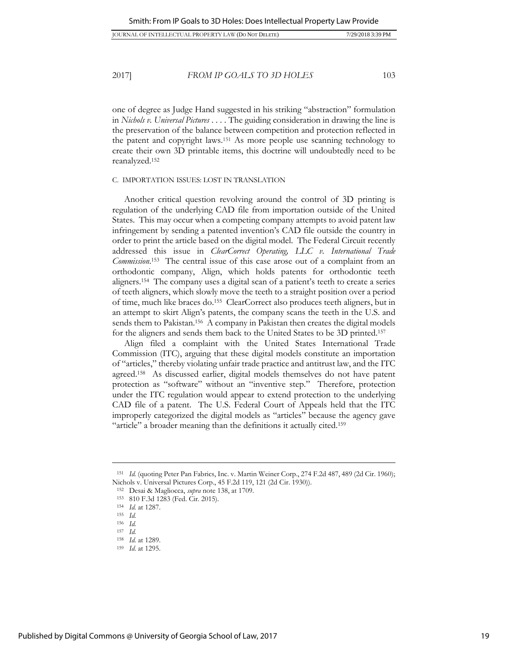| 7/29/2018 3:39 PM<br><b>IOURNAL OF INTELLECTUAL PROPERTY LAW (DO NOT DELETE)</b> |  |
|----------------------------------------------------------------------------------|--|
|----------------------------------------------------------------------------------|--|

one of degree as Judge Hand suggested in his striking "abstraction" formulation in *Nichols v. Universal Pictures* . . . . The guiding consideration in drawing the line is the preservation of the balance between competition and protection reflected in the patent and copyright laws.<sup>151</sup> As more people use scanning technology to create their own 3D printable items, this doctrine will undoubtedly need to be reanalyzed.<sup>152</sup>

#### C. IMPORTATION ISSUES: LOST IN TRANSLATION

Another critical question revolving around the control of 3D printing is regulation of the underlying CAD file from importation outside of the United States. This may occur when a competing company attempts to avoid patent law infringement by sending a patented invention's CAD file outside the country in order to print the article based on the digital model. The Federal Circuit recently addressed this issue in *ClearCorrect Operating, LLC v. International Trade Commission*. <sup>153</sup> The central issue of this case arose out of a complaint from an orthodontic company, Align, which holds patents for orthodontic teeth aligners.<sup>154</sup> The company uses a digital scan of a patient's teeth to create a series of teeth aligners, which slowly move the teeth to a straight position over a period of time, much like braces do.<sup>155</sup> ClearCorrect also produces teeth aligners, but in an attempt to skirt Align's patents, the company scans the teeth in the U.S. and sends them to Pakistan.<sup>156</sup> A company in Pakistan then creates the digital models for the aligners and sends them back to the United States to be 3D printed.<sup>157</sup>

Align filed a complaint with the United States International Trade Commission (ITC), arguing that these digital models constitute an importation of "articles," thereby violating unfair trade practice and antitrust law, and the ITC agreed.<sup>158</sup> As discussed earlier, digital models themselves do not have patent protection as "software" without an "inventive step." Therefore, protection under the ITC regulation would appear to extend protection to the underlying CAD file of a patent. The U.S. Federal Court of Appeals held that the ITC improperly categorized the digital models as "articles" because the agency gave "article" a broader meaning than the definitions it actually cited.<sup>159</sup>

<sup>151</sup> *Id.* (quoting Peter Pan Fabrics, Inc. v. Martin Weiner Corp., 274 F.2d 487, 489 (2d Cir. 1960); Nichols v. Universal Pictures Corp., 45 F.2d 119, 121 (2d Cir. 1930)).

<sup>152</sup> Desai & Magliocca, *supra* note 138, at 1709.

<sup>153</sup> 810 F.3d 1283 (Fed. Cir. 2015).

<sup>154</sup> *Id.* at 1287.

<sup>155</sup> *Id.*

<sup>156</sup> *Id.*

<sup>157</sup> *Id.*

<sup>158</sup> *Id.* at 1289.

<sup>159</sup> *Id*. at 1295.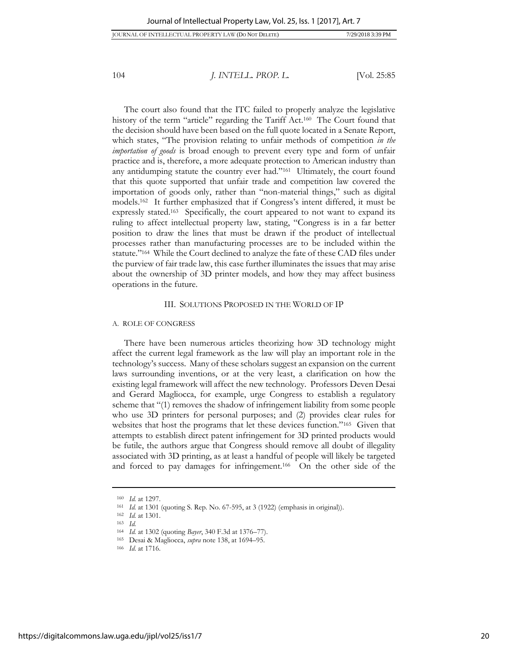JOURNAL OF INTELLECTUAL PROPERTY LAW (DO NOT DELETE) 7/29/2018 3:39 PM

104 *J. INTELL. PROP. L.* [Vol. 2[5:85](#page-1-0)]

The court also found that the ITC failed to properly analyze the legislative history of the term "article" regarding the Tariff Act.<sup>160</sup> The Court found that the decision should have been based on the full quote located in a Senate Report, which states, "The provision relating to unfair methods of competition *in the importation of goods* is broad enough to prevent every type and form of unfair practice and is, therefore, a more adequate protection to American industry than any antidumping statute the country ever had."<sup>161</sup> Ultimately, the court found that this quote supported that unfair trade and competition law covered the importation of goods only, rather than "non-material things," such as digital models.<sup>162</sup> It further emphasized that if Congress's intent differed, it must be expressly stated.<sup>163</sup> Specifically, the court appeared to not want to expand its ruling to affect intellectual property law, stating, "Congress is in a far better position to draw the lines that must be drawn if the product of intellectual processes rather than manufacturing processes are to be included within the statute."<sup>164</sup> While the Court declined to analyze the fate of these CAD files under the purview of fair trade law, this case further illuminates the issues that may arise about the ownership of 3D printer models, and how they may affect business operations in the future.

#### III. SOLUTIONS PROPOSED IN THE WORLD OF IP

#### A. ROLE OF CONGRESS

There have been numerous articles theorizing how 3D technology might affect the current legal framework as the law will play an important role in the technology's success. Many of these scholars suggest an expansion on the current laws surrounding inventions, or at the very least, a clarification on how the existing legal framework will affect the new technology. Professors Deven Desai and Gerard Magliocca, for example, urge Congress to establish a regulatory scheme that "(1) removes the shadow of infringement liability from some people who use 3D printers for personal purposes; and (2) provides clear rules for websites that host the programs that let these devices function."<sup>165</sup> Given that attempts to establish direct patent infringement for 3D printed products would be futile, the authors argue that Congress should remove all doubt of illegality associated with 3D printing, as at least a handful of people will likely be targeted and forced to pay damages for infringement.<sup>166</sup> On the other side of the

<sup>160</sup> *Id.* at 1297.

<sup>161</sup> *Id.* at 1301 (quoting S. Rep. No. 67-595, at 3 (1922) (emphasis in original)).

<sup>162</sup> *Id.* at 1301.

<sup>163</sup> *Id.*

<sup>164</sup> *Id.* at 1302 (quoting *Bayer*, 340 F.3d at 1376–77).

<sup>165</sup> Desai & Magliocca, *supra* note 138, at 1694–95.

<sup>166</sup> *Id*. at 1716.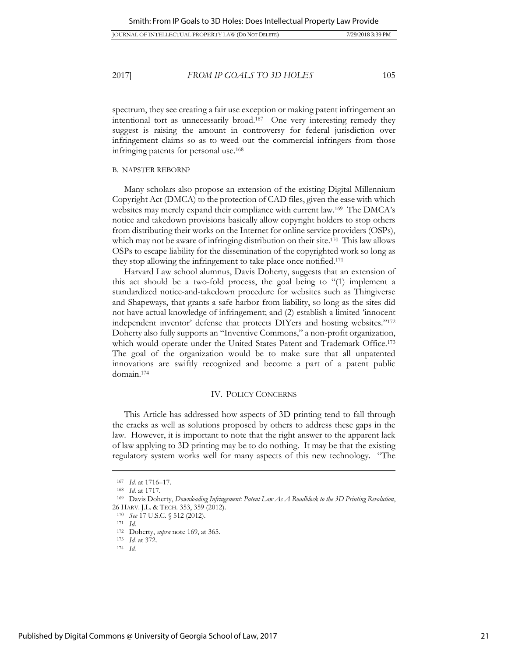| 7/29/2018 3:39 PM<br><b>IOURNAL OF INTELLECTUAL PROPERTY LAW (DO NOT DELETE)</b> |  |
|----------------------------------------------------------------------------------|--|
|----------------------------------------------------------------------------------|--|

spectrum, they see creating a fair use exception or making patent infringement an intentional tort as unnecessarily broad.<sup>167</sup> One very interesting remedy they suggest is raising the amount in controversy for federal jurisdiction over infringement claims so as to weed out the commercial infringers from those infringing patents for personal use.<sup>168</sup>

#### B. NAPSTER REBORN?

Many scholars also propose an extension of the existing Digital Millennium Copyright Act (DMCA) to the protection of CAD files, given the ease with which websites may merely expand their compliance with current law.<sup>169</sup> The DMCA's notice and takedown provisions basically allow copyright holders to stop others from distributing their works on the Internet for online service providers (OSPs), which may not be aware of infringing distribution on their site.<sup>170</sup> This law allows OSPs to escape liability for the dissemination of the copyrighted work so long as they stop allowing the infringement to take place once notified.<sup>171</sup>

Harvard Law school alumnus, Davis Doherty, suggests that an extension of this act should be a two-fold process, the goal being to "(1) implement a standardized notice-and-takedown procedure for websites such as Thingiverse and Shapeways, that grants a safe harbor from liability, so long as the sites did not have actual knowledge of infringement; and (2) establish a limited 'innocent independent inventor' defense that protects DIYers and hosting websites."<sup>172</sup> Doherty also fully supports an "Inventive Commons," a non-profit organization, which would operate under the United States Patent and Trademark Office.<sup>173</sup> The goal of the organization would be to make sure that all unpatented innovations are swiftly recognized and become a part of a patent public domain.<sup>174</sup>

#### IV. POLICY CONCERNS

This Article has addressed how aspects of 3D printing tend to fall through the cracks as well as solutions proposed by others to address these gaps in the law. However, it is important to note that the right answer to the apparent lack of law applying to 3D printing may be to do nothing. It may be that the existing regulatory system works well for many aspects of this new technology. "The

<sup>167</sup> *Id*. at 1716–17.

<sup>168</sup> *Id*. at 1717.

<sup>169</sup> Davis Doherty, *Downloading Infringement: Patent Law As A Roadblock to the 3D Printing Revolution*, 26 HARV. J.L. & TECH. 353, 359 (2012).

<sup>170</sup> *See* 17 U.S.C. § 512 (2012).

<sup>171</sup> *Id*.

<sup>172</sup> Doherty, *supra* note 169, at 365.

<sup>173</sup> *Id.* at 372.

<sup>174</sup> *Id.*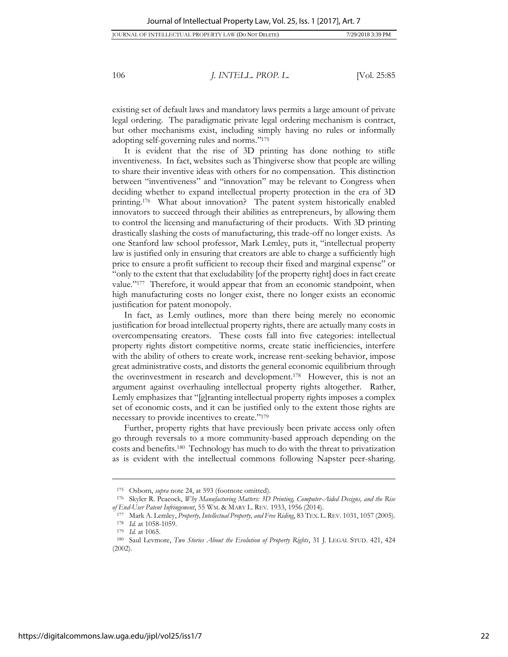existing set of default laws and mandatory laws permits a large amount of private legal ordering. The paradigmatic private legal ordering mechanism is contract, but other mechanisms exist, including simply having no rules or informally adopting self-governing rules and norms."<sup>175</sup>

It is evident that the rise of 3D printing has done nothing to stifle inventiveness. In fact, websites such as Thingiverse show that people are willing to share their inventive ideas with others for no compensation. This distinction between "inventiveness" and "innovation" may be relevant to Congress when deciding whether to expand intellectual property protection in the era of 3D printing.<sup>176</sup> What about innovation? The patent system historically enabled innovators to succeed through their abilities as entrepreneurs, by allowing them to control the licensing and manufacturing of their products. With 3D printing drastically slashing the costs of manufacturing, this trade-off no longer exists. As one Stanford law school professor, Mark Lemley, puts it, "intellectual property law is justified only in ensuring that creators are able to charge a sufficiently high price to ensure a profit sufficient to recoup their fixed and marginal expense" or "only to the extent that that excludability [of the property right] does in fact create value."<sup>177</sup> Therefore, it would appear that from an economic standpoint, when high manufacturing costs no longer exist, there no longer exists an economic justification for patent monopoly.

In fact, as Lemly outlines, more than there being merely no economic justification for broad intellectual property rights, there are actually many costs in overcompensating creators. These costs fall into five categories: intellectual property rights distort competitive norms, create static inefficiencies, interfere with the ability of others to create work, increase rent-seeking behavior, impose great administrative costs, and distorts the general economic equilibrium through the overinvestment in research and development.<sup>178</sup> However, this is not an argument against overhauling intellectual property rights altogether. Rather, Lemly emphasizes that "[g]ranting intellectual property rights imposes a complex set of economic costs, and it can be justified only to the extent those rights are necessary to provide incentives to create."<sup>179</sup>

Further, property rights that have previously been private access only often go through reversals to a more community-based approach depending on the costs and benefits.<sup>180</sup> Technology has much to do with the threat to privatization as is evident with the intellectual commons following Napster peer-sharing.

<sup>175</sup> Osborn, *supra* note 24, at 593 (footnote omitted).

<sup>176</sup> Skyler R. Peacock, *Why Manufacturing Matters: 3D Printing, Computer-Aided Designs, and the Rise of End-User Patent Infringement*, 55 WM. & MARY L. REV. 1933, 1956 (2014).

<sup>177</sup> Mark A. Lemley, *Property, Intellectual Property, and Free Riding*, 83 TEX. L.REV. 1031, 1057 (2005). <sup>178</sup> *Id.* at 1058-1059.

<sup>179</sup> *Id.* at 1065.

<sup>180</sup> Saul Levmore, *Two Stories About the Evolution of Property Rights*, 31 J. LEGAL STUD. 421, 424 (2002).